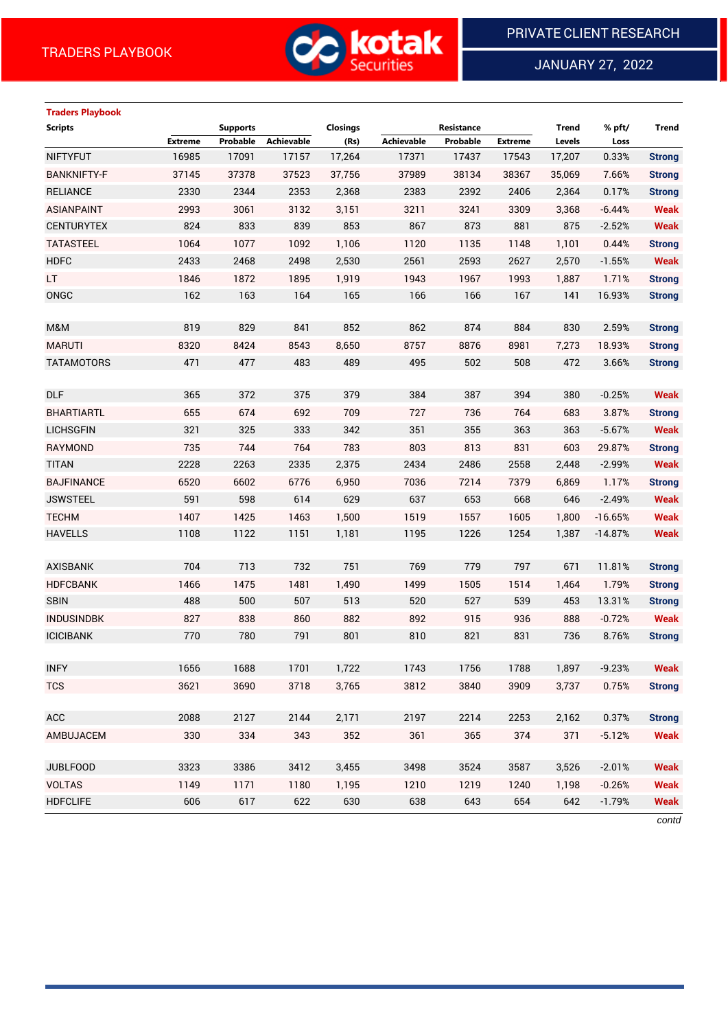

JANUARY 27, 2022

# **Traders Playbook**

| <b>Scripts</b>     |                | <b>Supports</b> |                   | <b>Closings</b> |                   | Resistance |                | <b>Trend</b> | % pft/    | <b>Trend</b>  |
|--------------------|----------------|-----------------|-------------------|-----------------|-------------------|------------|----------------|--------------|-----------|---------------|
|                    | <b>Extreme</b> | Probable        | <b>Achievable</b> | (Rs)            | <b>Achievable</b> | Probable   | <b>Extreme</b> | Levels       | Loss      |               |
| <b>NIFTYFUT</b>    | 16985          | 17091           | 17157             | 17,264          | 17371             | 17437      | 17543          | 17,207       | 0.33%     | <b>Strong</b> |
| <b>BANKNIFTY-F</b> | 37145          | 37378           | 37523             | 37,756          | 37989             | 38134      | 38367          | 35,069       | 7.66%     | <b>Strong</b> |
| <b>RELIANCE</b>    | 2330           | 2344            | 2353              | 2,368           | 2383              | 2392       | 2406           | 2,364        | 0.17%     | <b>Strong</b> |
| <b>ASIANPAINT</b>  | 2993           | 3061            | 3132              | 3,151           | 3211              | 3241       | 3309           | 3,368        | $-6.44%$  | <b>Weak</b>   |
| <b>CENTURYTEX</b>  | 824            | 833             | 839               | 853             | 867               | 873        | 881            | 875          | $-2.52%$  | <b>Weak</b>   |
| <b>TATASTEEL</b>   | 1064           | 1077            | 1092              | 1,106           | 1120              | 1135       | 1148           | 1,101        | 0.44%     | <b>Strong</b> |
| <b>HDFC</b>        | 2433           | 2468            | 2498              | 2,530           | 2561              | 2593       | 2627           | 2,570        | $-1.55%$  | <b>Weak</b>   |
| LT.                | 1846           | 1872            | 1895              | 1,919           | 1943              | 1967       | 1993           | 1,887        | 1.71%     | <b>Strong</b> |
| ONGC               | 162            | 163             | 164               | 165             | 166               | 166        | 167            | 141          | 16.93%    | <b>Strong</b> |
|                    |                |                 |                   |                 |                   |            |                |              |           |               |
| M&M                | 819            | 829             | 841               | 852             | 862               | 874        | 884            | 830          | 2.59%     | <b>Strong</b> |
| <b>MARUTI</b>      | 8320           | 8424            | 8543              | 8,650           | 8757              | 8876       | 8981           | 7,273        | 18.93%    | <b>Strong</b> |
| <b>TATAMOTORS</b>  | 471            | 477             | 483               | 489             | 495               | 502        | 508            | 472          | 3.66%     | <b>Strong</b> |
|                    |                |                 |                   |                 |                   |            |                |              |           |               |
| <b>DLF</b>         | 365            | 372             | 375               | 379             | 384               | 387        | 394            | 380          | $-0.25%$  | <b>Weak</b>   |
| <b>BHARTIARTL</b>  | 655            | 674             | 692               | 709             | 727               | 736        | 764            | 683          | 3.87%     | <b>Strong</b> |
| <b>LICHSGFIN</b>   | 321            | 325             | 333               | 342             | 351               | 355        | 363            | 363          | $-5.67%$  | <b>Weak</b>   |
| RAYMOND            | 735            | 744             | 764               | 783             | 803               | 813        | 831            | 603          | 29.87%    | <b>Strong</b> |
| <b>TITAN</b>       | 2228           | 2263            | 2335              | 2,375           | 2434              | 2486       | 2558           | 2,448        | $-2.99%$  | <b>Weak</b>   |
| <b>BAJFINANCE</b>  | 6520           | 6602            | 6776              | 6,950           | 7036              | 7214       | 7379           | 6,869        | 1.17%     | <b>Strong</b> |
| <b>JSWSTEEL</b>    | 591            | 598             | 614               | 629             | 637               | 653        | 668            | 646          | $-2.49%$  | <b>Weak</b>   |
| <b>TECHM</b>       | 1407           | 1425            | 1463              | 1,500           | 1519              | 1557       | 1605           | 1,800        | $-16.65%$ | <b>Weak</b>   |
| <b>HAVELLS</b>     | 1108           | 1122            | 1151              | 1,181           | 1195              | 1226       | 1254           | 1,387        | $-14.87%$ | <b>Weak</b>   |
|                    |                |                 |                   |                 |                   |            |                |              |           |               |
| <b>AXISBANK</b>    | 704            | 713             | 732               | 751             | 769               | 779        | 797            | 671          | 11.81%    | <b>Strong</b> |
| <b>HDFCBANK</b>    | 1466           | 1475            | 1481              | 1,490           | 1499              | 1505       | 1514           | 1,464        | 1.79%     | <b>Strong</b> |
| <b>SBIN</b>        | 488            | 500             | 507               | 513             | 520               | 527        | 539            | 453          | 13.31%    | <b>Strong</b> |
| <b>INDUSINDBK</b>  | 827            | 838             | 860               | 882             | 892               | 915        | 936            | 888          | $-0.72%$  | <b>Weak</b>   |
| <b>ICICIBANK</b>   | 770            | 780             | 791               | 801             | 810               | 821        | 831            | 736          | 8.76%     | <b>Strong</b> |
|                    |                |                 |                   |                 |                   |            |                |              |           |               |
| <b>INFY</b>        | 1656           | 1688            | 1701              | 1,722           | 1743              | 1756       | 1788           | 1,897        | $-9.23%$  | Weak          |
| <b>TCS</b>         | 3621           | 3690            | 3718              | 3,765           | 3812              | 3840       | 3909           | 3,737        | 0.75%     | <b>Strong</b> |
|                    |                |                 |                   |                 |                   |            |                |              |           |               |
| ACC                | 2088           | 2127            | 2144              | 2,171           | 2197              | 2214       | 2253           | 2,162        | 0.37%     | <b>Strong</b> |
| AMBUJACEM          | 330            | 334             | 343               | 352             | 361               | 365        | 374            | 371          | $-5.12%$  | <b>Weak</b>   |
|                    |                |                 |                   |                 |                   |            |                |              |           |               |
| <b>JUBLFOOD</b>    | 3323           | 3386            | 3412              | 3,455           | 3498              | 3524       | 3587           | 3,526        | $-2.01%$  | <b>Weak</b>   |
| <b>VOLTAS</b>      | 1149           | 1171            | 1180              | 1,195           | 1210              | 1219       | 1240           | 1,198        | $-0.26%$  | <b>Weak</b>   |
| <b>HDFCLIFE</b>    | 606            | 617             | 622               | 630             | 638               | 643        | 654            | 642          | $-1.79%$  | <b>Weak</b>   |
|                    |                |                 |                   |                 |                   |            |                |              |           |               |

*contd*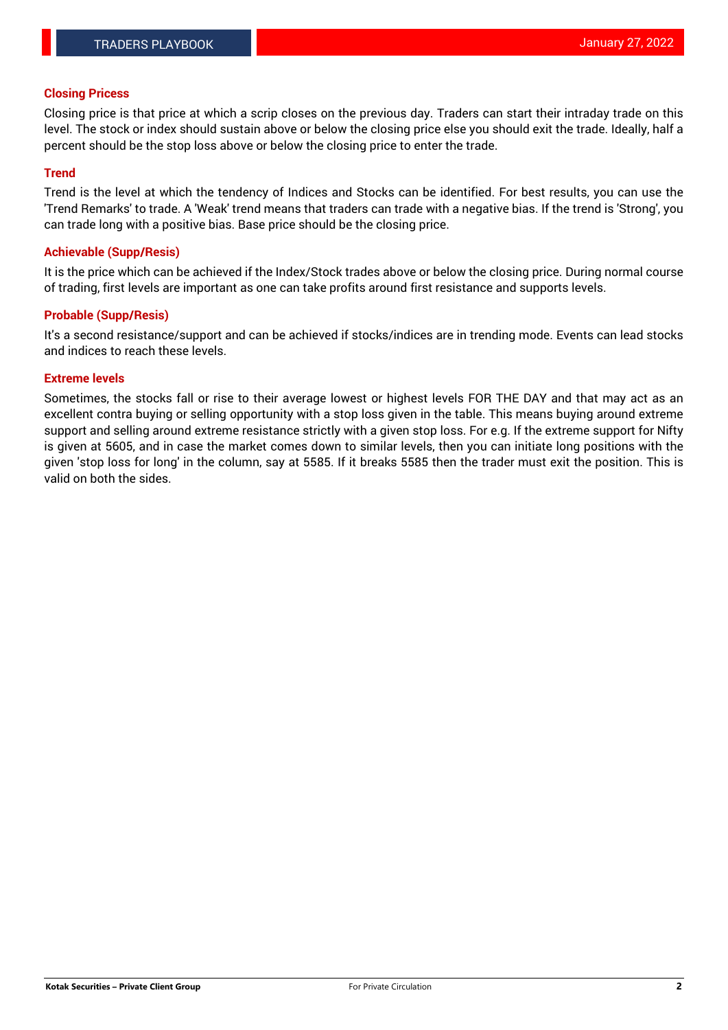#### **Closing Pricess**

Closing price is that price at which a scrip closes on the previous day. Traders can start their intraday trade on this level. The stock or index should sustain above or below the closing price else you should exit the trade. Ideally, half a percent should be the stop loss above or below the closing price to enter the trade.

# **Trend**

Trend is the level at which the tendency of Indices and Stocks can be identified. For best results, you can use the 'Trend Remarks' to trade. A 'Weak' trend means that traders can trade with a negative bias. If the trend is 'Strong', you can trade long with a positive bias. Base price should be the closing price.

#### **Achievable (Supp/Resis)**

It is the price which can be achieved if the Index/Stock trades above or below the closing price. During normal course of trading, first levels are important as one can take profits around first resistance and supports levels.

# **Probable (Supp/Resis)**

It's a second resistance/support and can be achieved if stocks/indices are in trending mode. Events can lead stocks and indices to reach these levels.

#### **Extreme levels**

Sometimes, the stocks fall or rise to their average lowest or highest levels FOR THE DAY and that may act as an excellent contra buying or selling opportunity with a stop loss given in the table. This means buying around extreme support and selling around extreme resistance strictly with a given stop loss. For e.g. If the extreme support for Nifty is given at 5605, and in case the market comes down to similar levels, then you can initiate long positions with the given 'stop loss for long' in the column, say at 5585. If it breaks 5585 then the trader must exit the position. This is valid on both the sides.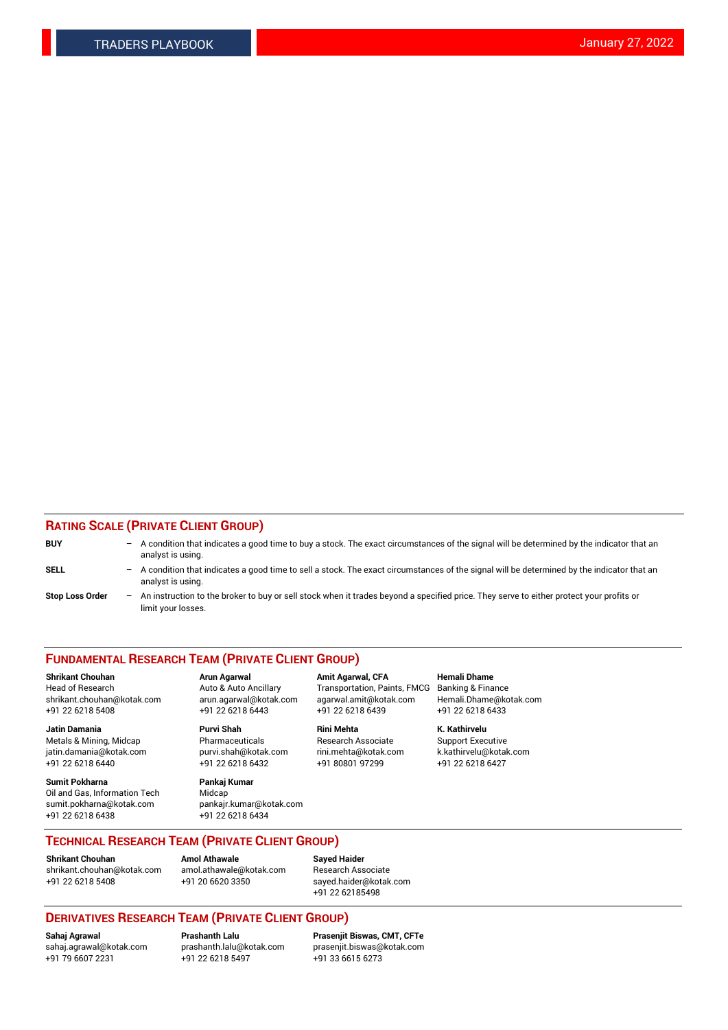# **RATING SCALE (PRIVATE CLIENT GROUP)**

| <b>BUY</b>             | $-$ A condition that indicates a good time to buy a stock. The exact circumstances of the signal will be determined by the indicator that an<br>analyst is using. |
|------------------------|-------------------------------------------------------------------------------------------------------------------------------------------------------------------|
| <b>SELL</b>            | A condition that indicates a good time to sell a stock. The exact circumstances of the signal will be determined by the indicator that an<br>analyst is using.    |
| <b>Stop Loss Order</b> | - An instruction to the broker to buy or sell stock when it trades beyond a specified price. They serve to either protect your profits or<br>limit your losses.   |

#### **FUNDAMENTAL RESEARCH TEAM (PRIVATE CLIENT GROUP)**

Head of Research **Auto & Auto Ancillary** Transportation, Paints, FMCG Banking & Finance shrikant.chouhan@kotak.com arun.agarwal@kotak.com agarwal.amit@kotak.com Hemali.Dhame@kotak.com +91 22 6218 5408 +91 22 6218 6443 +91 22 6218 6439 +91 22 6218 6433

**Jatin Damania Purvi Shah Rini Mehta K. Kathirvelu** Metals & Mining, Midcap **Pharmaceuticals** Research Associate Support Executive jatin.damania@kotak.com [purvi.shah@kotak.com](mailto:purvi.shah@kotak.com) rini.mehta@kotak.com [k.kathirvelu@kotak.com](mailto:k.kathirvelu@kotak.com) +91 22 6218 6440 +91 22 6218 6432 +91 80801 97299 +91 22 6218 6427

**Sumit Pokharna Pankaj Kumar** Oil and Gas, Information Tech Midcap<br>sumit.pokharna@kotak.com bankair. +91 22 6218 6438 +91 22 6218 6434

sumit.pokharna@kotak.com pankajr.kumar@kotak.com

**Shrikant Chouhan Arun Agarwal Amit Agarwal, CFA Hemali Dhame**

**TECHNICAL RESEARCH TEAM (PRIVATE CLIENT GROUP)**

[shrikant.chouhan@kotak.com](mailto:shrikant.chouhan@kotak.com) [amol.athawale@kotak.com](mailto:amol.athawale@kotak.com) Research Associate +91 22 6218 5408 +91 20 6620 3350 [sayed.haider@kotak.com](mailto:sayed.haider@kotak.com)

**Shrikant Chouhan Amol Athawale**<br> **Amol Athawale** @kotak.com **Busisms** Research Ass

+91 22 62185498

# **DERIVATIVES RESEARCH TEAM (PRIVATE CLIENT GROUP)**

 $+91$  22 6218 5497

**Sahaj Agrawal Prashanth Lalu Prasenjit Biswas, CMT, CFTe** [sahaj.agrawal@kotak.com](mailto:sahaj.agrawal@kotak.com) [prashanth.lalu@kotak.com](mailto:prashanth.lalu@kotak.com) [prasenjit.biswas@kotak.com](mailto:prasenjit.biswas@kotak.com)